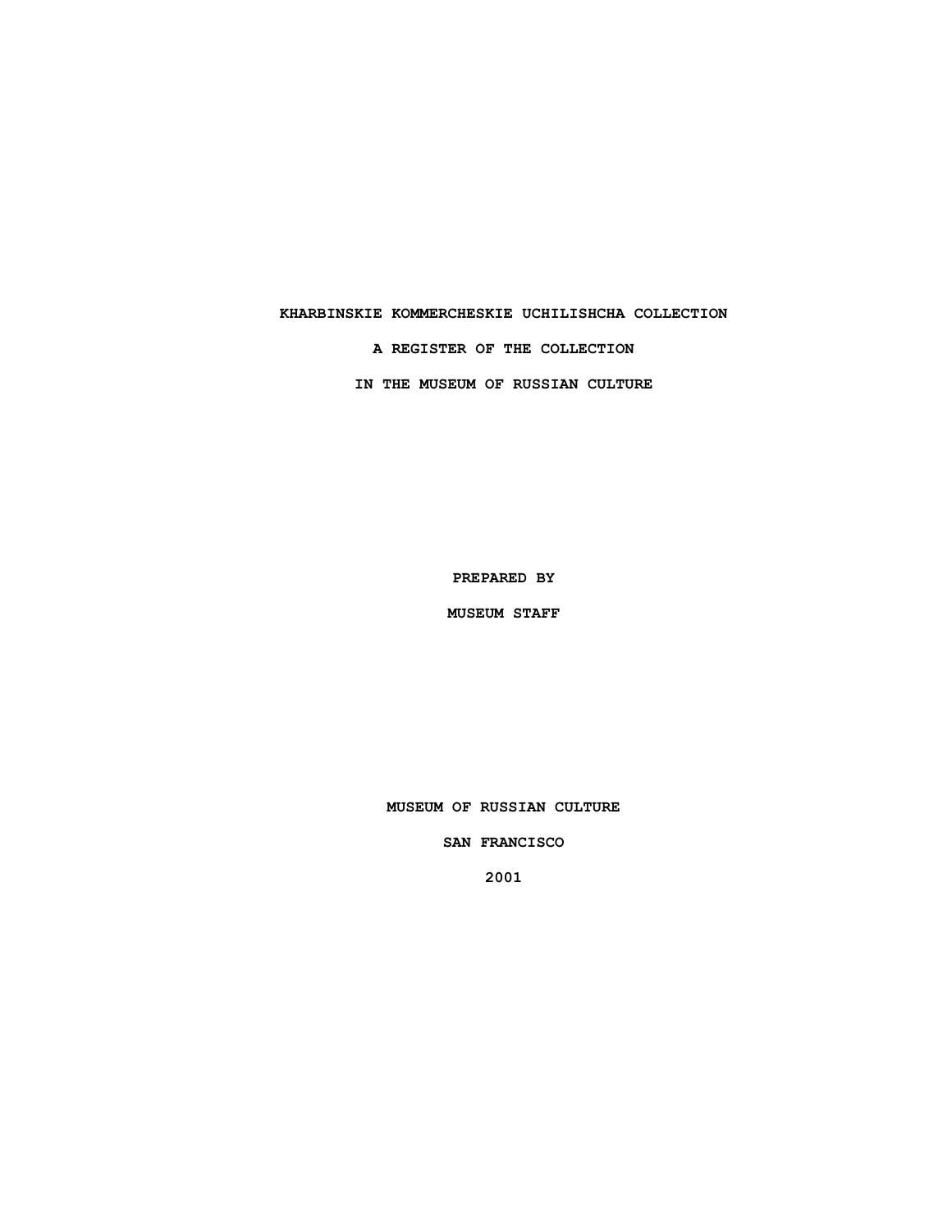### **KHARBINSKIE KOMMERCHESKIE UCHILISHCHA COLLECTION**

**A REGISTER OF THE COLLECTION**

**IN THE MUSEUM OF RUSSIAN CULTURE**

**PREPARED BY**

**MUSEUM STAFF**

**MUSEUM OF RUSSIAN CULTURE**

**SAN FRANCISCO**

**2001**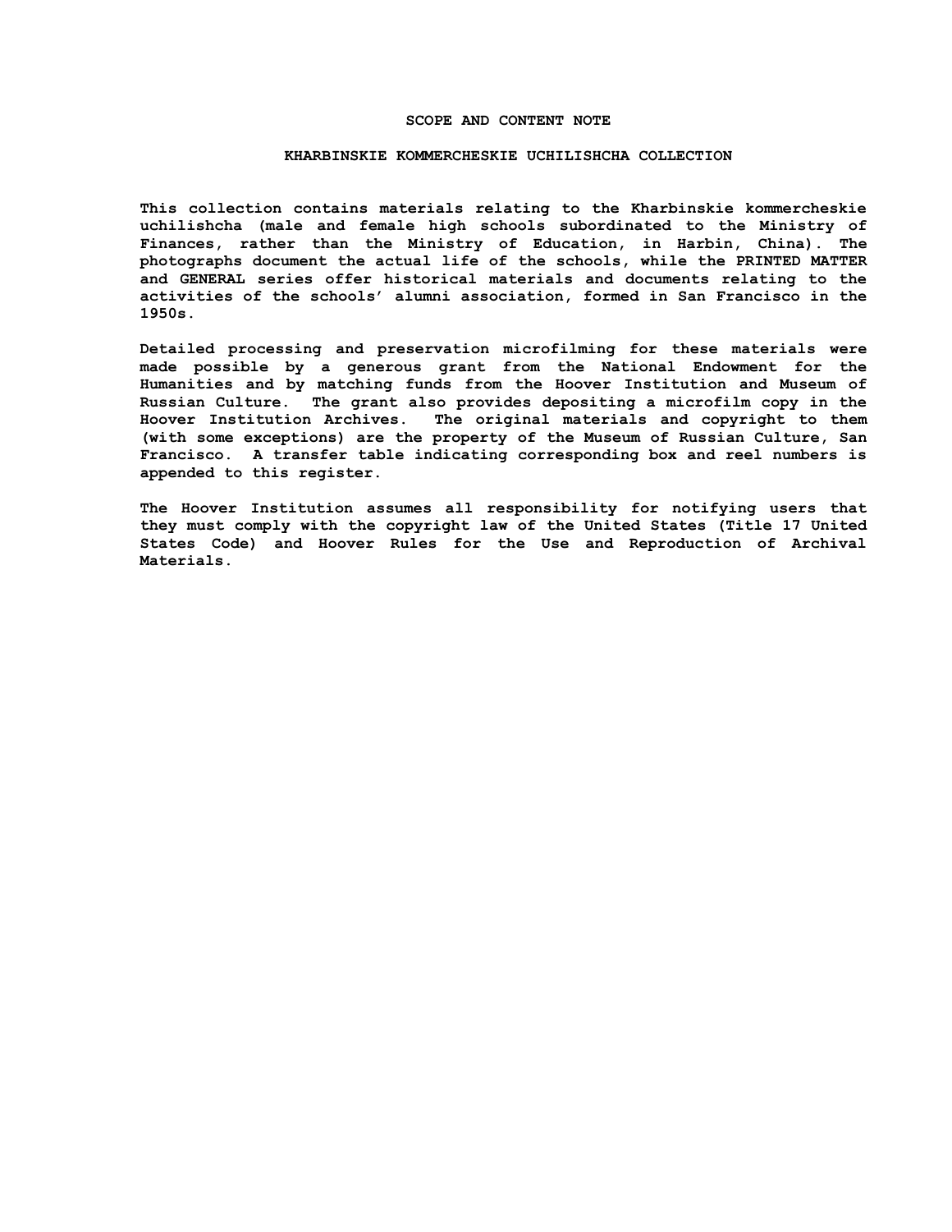#### **SCOPE AND CONTENT NOTE**

#### **KHARBINSKIE KOMMERCHESKIE UCHILISHCHA COLLECTION**

**This collection contains materials relating to the Kharbinskie kommercheskie uchilishcha (male and female high schools subordinated to the Ministry of Finances, rather than the Ministry of Education, in Harbin, China). The photographs document the actual life of the schools, while the PRINTED MATTER and GENERAL series offer historical materials and documents relating to the activities of the schools' alumni association, formed in San Francisco in the 1950s.**

**Detailed processing and preservation microfilming for these materials were made possible by a generous grant from the National Endowment for the Humanities and by matching funds from the Hoover Institution and Museum of Russian Culture. The grant also provides depositing a microfilm copy in the Hoover Institution Archives. The original materials and copyright to them (with some exceptions) are the property of the Museum of Russian Culture, San Francisco. A transfer table indicating corresponding box and reel numbers is appended to this register.**

**The Hoover Institution assumes all responsibility for notifying users that they must comply with the copyright law of the United States (Title 17 United States Code) and Hoover Rules for the Use and Reproduction of Archival Materials.**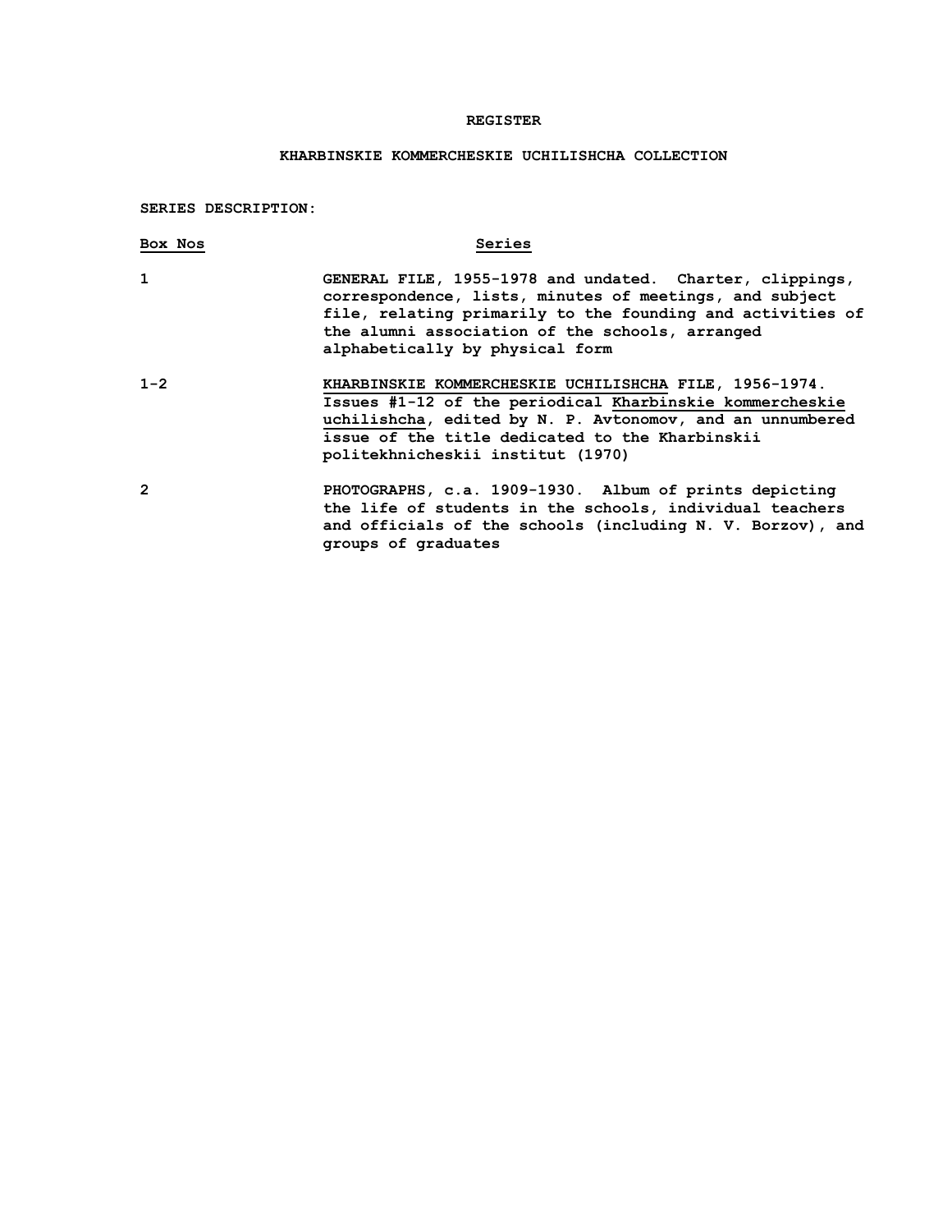## **REGISTER**

# **KHARBINSKIE KOMMERCHESKIE UCHILISHCHA COLLECTION**

**SERIES DESCRIPTION:**

| Box Nos      | Series                                                                                                                                                                                                                                                                  |
|--------------|-------------------------------------------------------------------------------------------------------------------------------------------------------------------------------------------------------------------------------------------------------------------------|
| $\mathbf{1}$ | GENERAL FILE, 1955-1978 and undated. Charter, clippings,<br>correspondence, lists, minutes of meetings, and subject<br>file, relating primarily to the founding and activities of<br>the alumni association of the schools, arranged<br>alphabetically by physical form |
| $1 - 2$      | KHARBINSKIE KOMMERCHESKIE UCHILISHCHA FILE, 1956-1974.<br>Issues #1-12 of the periodical Kharbinskie kommercheskie<br>uchilishcha, edited by N. P. Avtonomov, and an unnumbered<br>issue of the title dedicated to the Kharbinskii<br>politekhnicheskii institut (1970) |
| 2            | PHOTOGRAPHS, c.a. 1909-1930. Album of prints depicting<br>the life of students in the schools, individual teachers<br>and officials of the schools (including N. V. Borzov), and<br>groups of graduates                                                                 |